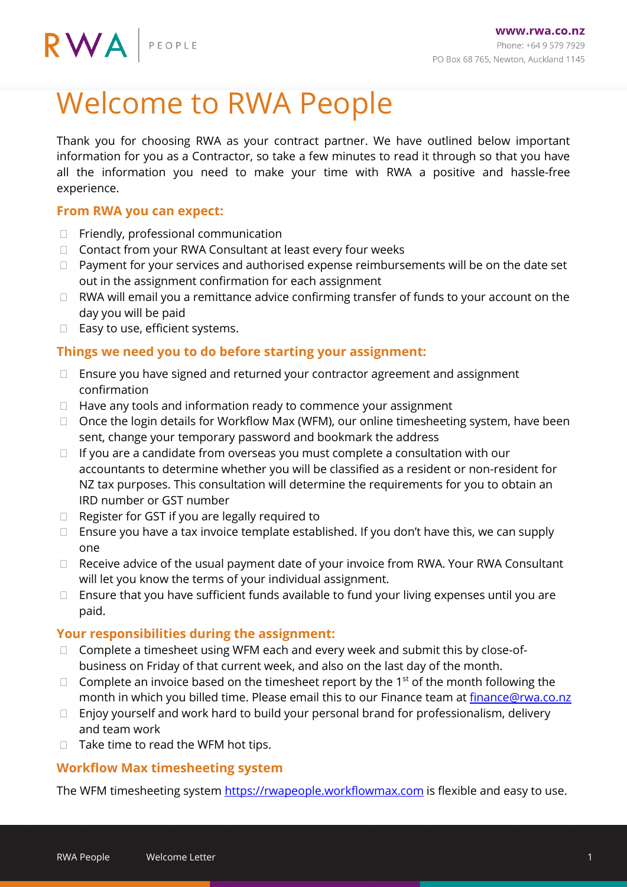# Welcome to RWA People

Thank you for choosing RWA as your contract partner. We have outlined below important information for you as a Contractor, so take a few minutes to read it through so that you have all the information you need to make your time with RWA a positive and hassle-free experience.

## **From RWA you can expect:**

- $\Box$  Friendly, professional communication
- □ Contact from your RWA Consultant at least every four weeks
- $\Box$  Payment for your services and authorised expense reimbursements will be on the date set out in the assignment confirmation for each assignment
- $\Box$  RWA will email you a remittance advice confirming transfer of funds to your account on the day you will be paid
- $\Box$  Easy to use, efficient systems.

# **Things we need you to do before starting your assignment:**

- $\Box$  Ensure you have signed and returned your contractor agreement and assignment confirmation
- $\Box$  Have any tools and information ready to commence your assignment
- $\Box$  Once the login details for Workflow Max (WFM), our online timesheeting system, have been sent, change your temporary password and bookmark the address
- $\Box$  If you are a candidate from overseas you must complete a consultation with our accountants to determine whether you will be classified as a resident or non-resident for NZ tax purposes. This consultation will determine the requirements for you to obtain an IRD number or GST number
- Register for GST if you are legally required to
- $\Box$  Ensure you have a tax invoice template established. If you don't have this, we can supply one
- $\Box$  Receive advice of the usual payment date of your invoice from RWA. Your RWA Consultant will let you know the terms of your individual assignment.
- $\Box$  Ensure that you have sufficient funds available to fund your living expenses until you are paid.

## **Your responsibilities during the assignment:**

- □ Complete a timesheet using WFM each and every week and submit this by close-ofbusiness on Friday of that current week, and also on the last day of the month.
- $\Box$  Complete an invoice based on the timesheet report by the 1<sup>st</sup> of the month following the month in which you billed time. Please email this to our Finance team at [finance@rwa.co.nz](mailto:finance@rwa.co.nz)
- $\Box$  Enjoy yourself and work hard to build your personal brand for professionalism, delivery and team work
- $\Box$  Take time to read the WFM hot tips.

## **Workflow Max timesheeting system**

The WFM timesheeting system [https://rwapeople.workflowmax.com](https://rwapeople.workflowmax.com/) is flexible and easy to use.